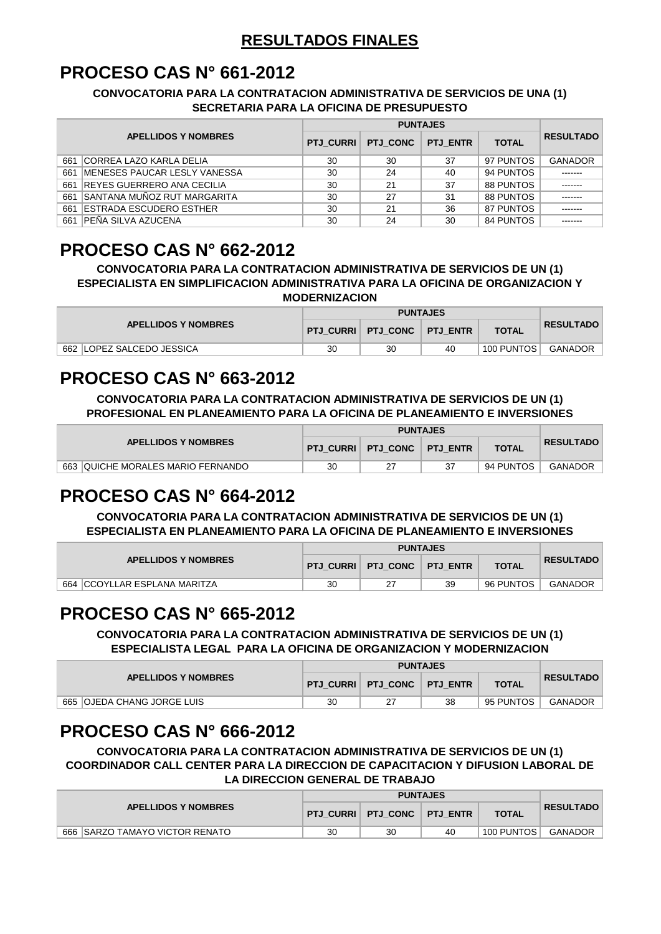#### **RESULTADOS FINALES**

#### **PROCESO CAS N° 661-2012**

#### **CONVOCATORIA PARA LA CONTRATACION ADMINISTRATIVA DE SERVICIOS DE UNA (1) SECRETARIA PARA LA OFICINA DE PRESUPUESTO**

|                            |                                      |                 | <b>PUNTAJES</b> |              |                  |                |  |  |
|----------------------------|--------------------------------------|-----------------|-----------------|--------------|------------------|----------------|--|--|
| <b>APELLIDOS Y NOMBRES</b> | <b>PTJ CURRI</b>                     | <b>PTJ CONC</b> | <b>PTJ ENTR</b> | <b>TOTAL</b> | <b>RESULTADO</b> |                |  |  |
| 661                        | ICORREA LAZO KARLA DELIA             | 30              | 30              | 37           | 97 PUNTOS        | <b>GANADOR</b> |  |  |
| 661                        | <b>IMENESES PAUCAR LESLY VANESSA</b> | 30              | 24              | 40           | 94 PUNTOS        | -------        |  |  |
|                            | 661 REYES GUERRERO ANA CECILIA       | 30              | 21              | 37           | 88 PUNTOS        | -------        |  |  |
| 661                        | <b>SANTANA MUÑOZ RUT MARGARITA</b>   | 30              | 27              | 31           | 88 PUNTOS        | -------        |  |  |
| 661                        | <b>IESTRADA ESCUDERO ESTHER</b>      | 30              | 21              | 36           | 87 PUNTOS        | -------        |  |  |
| 661                        | IPEÑA SILVA AZUCENA                  | 30              | 24              | 30           | 84 PUNTOS        | -------        |  |  |

## **PROCESO CAS N° 662-2012**

**CONVOCATORIA PARA LA CONTRATACION ADMINISTRATIVA DE SERVICIOS DE UN (1) ESPECIALISTA EN SIMPLIFICACION ADMINISTRATIVA PARA LA OFICINA DE ORGANIZACION Y MODERNIZACION**

| <b>APELLIDOS Y NOMBRES</b> |    | <b>PUNTAJES</b>                 |    |              |                  |  |  |
|----------------------------|----|---------------------------------|----|--------------|------------------|--|--|
|                            |    | PTJ CURRI   PTJ CONC   PTJ ENTR |    | <b>TOTAL</b> | <b>RESULTADO</b> |  |  |
| 662 ILOPEZ SALCEDO JESSICA | 30 | 30                              | 40 | 100 PUNTOS   | GANADOR          |  |  |

## **PROCESO CAS N° 663-2012**

**CONVOCATORIA PARA LA CONTRATACION ADMINISTRATIVA DE SERVICIOS DE UN (1) PROFESIONAL EN PLANEAMIENTO PARA LA OFICINA DE PLANEAMIENTO E INVERSIONES**

| <b>APELLIDOS Y NOMBRES</b>                  |    | PTJ CURRI    PTJ CONC | <b>PTJ ENTR</b> | <b>TOTAL</b> | <b>RESULTADO</b> |
|---------------------------------------------|----|-----------------------|-----------------|--------------|------------------|
| 663<br><b>QUICHE MORALES MARIO FERNANDO</b> | 30 |                       |                 | 94 PUNTOS    | <b>GANADOR</b>   |

## **PROCESO CAS N° 664-2012**

**CONVOCATORIA PARA LA CONTRATACION ADMINISTRATIVA DE SERVICIOS DE UN (1) ESPECIALISTA EN PLANEAMIENTO PARA LA OFICINA DE PLANEAMIENTO E INVERSIONES**

| <b>APELLIDOS Y NOMBRES</b>              |                  |                     |    |              |                  |
|-----------------------------------------|------------------|---------------------|----|--------------|------------------|
|                                         | <b>PTJ CURRI</b> | PTJ CONC   PTJ ENTR |    | <b>TOTAL</b> | <b>RESULTADO</b> |
| 664<br><b>ICCOYLLAR ESPLANA MARITZA</b> | 30               |                     | 39 | 96 PUNTOS    | GANADOR          |

## **PROCESO CAS N° 665-2012**

**CONVOCATORIA PARA LA CONTRATACION ADMINISTRATIVA DE SERVICIOS DE UN (1) ESPECIALISTA LEGAL PARA LA OFICINA DE ORGANIZACION Y MODERNIZACION**

|                              |    | <b>PUNTAJES</b>                 |    |              |                  |  |  |
|------------------------------|----|---------------------------------|----|--------------|------------------|--|--|
| <b>APELLIDOS Y NOMBRES</b>   |    | PTJ CURRI   PTJ CONC   PTJ ENTR |    | <b>TOTAL</b> | <b>RESULTADO</b> |  |  |
| 665   OJEDA CHANG JORGE LUIS | 30 |                                 | 38 | 95 PUNTOS    | GANADOR          |  |  |

#### **PROCESO CAS N° 666-2012**

**CONVOCATORIA PARA LA CONTRATACION ADMINISTRATIVA DE SERVICIOS DE UN (1) COORDINADOR CALL CENTER PARA LA DIRECCION DE CAPACITACION Y DIFUSION LABORAL DE LA DIRECCION GENERAL DE TRABAJO**

|                                |    | <b>PUNTAJES</b>      |                 |              |                  |  |  |
|--------------------------------|----|----------------------|-----------------|--------------|------------------|--|--|
| <b>APELLIDOS Y NOMBRES</b>     |    | PTJ CURRI   PTJ CONC | <b>PTJ ENTR</b> | <b>TOTAL</b> | <b>RESULTADO</b> |  |  |
| 666 SARZO TAMAYO VICTOR RENATO | 30 | 30                   | 40              | 100 PUNTOS   | GANADOR          |  |  |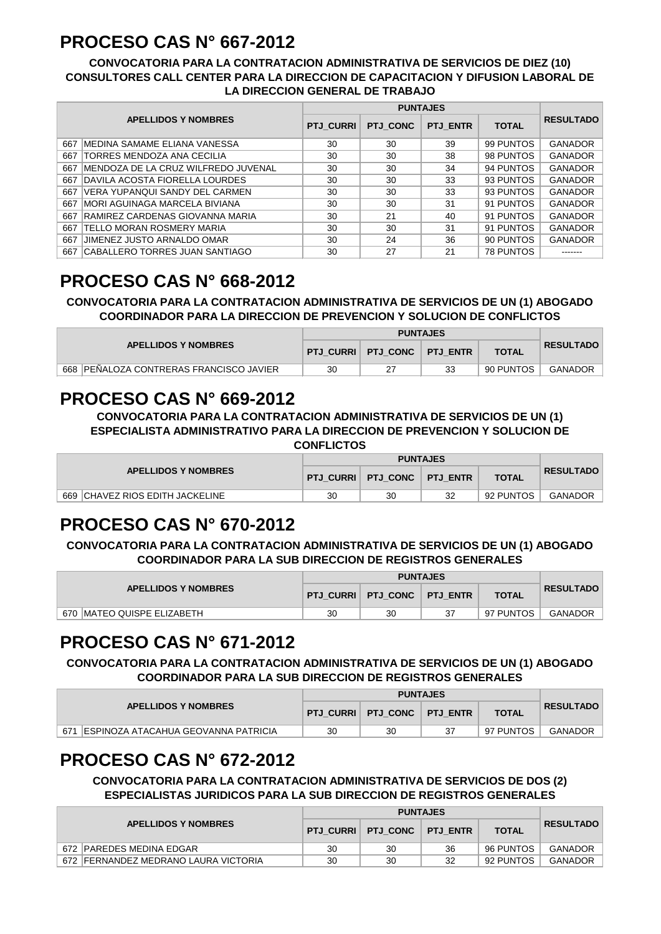## **PROCESO CAS N° 667-2012**

#### **CONVOCATORIA PARA LA CONTRATACION ADMINISTRATIVA DE SERVICIOS DE DIEZ (10) CONSULTORES CALL CENTER PARA LA DIRECCION DE CAPACITACION Y DIFUSION LABORAL DE LA DIRECCION GENERAL DE TRABAJO**

|     |                                      |                  | <b>PUNTAJES</b> |                 |                  |                  |  |  |
|-----|--------------------------------------|------------------|-----------------|-----------------|------------------|------------------|--|--|
|     | <b>APELLIDOS Y NOMBRES</b>           | <b>PTJ CURRI</b> | <b>PTJ CONC</b> | <b>PTJ ENTR</b> | <b>TOTAL</b>     | <b>RESULTADO</b> |  |  |
| 667 | <b>IMEDINA SAMAME ELIANA VANESSA</b> | 30               | 30              | 39              | 99 PUNTOS        | <b>GANADOR</b>   |  |  |
| 667 | <b>TORRES MENDOZA ANA CECILIA</b>    | 30               | 30              | 38              | 98 PUNTOS        | <b>GANADOR</b>   |  |  |
| 667 | IMENDOZA DE LA CRUZ WILFREDO JUVENAL | 30               | 30              | 34              | 94 PUNTOS        | <b>GANADOR</b>   |  |  |
| 667 | DAVILA ACOSTA FIORELLA LOURDES       | 30               | 30              | 33              | 93 PUNTOS        | <b>GANADOR</b>   |  |  |
| 667 | VERA YUPANQUI SANDY DEL CARMEN       | 30               | 30              | 33              | 93 PUNTOS        | <b>GANADOR</b>   |  |  |
| 667 | IMORI AGUINAGA MARCELA BIVIANA       | 30               | 30              | 31              | 91 PUNTOS        | <b>GANADOR</b>   |  |  |
| 667 | RAMIREZ CARDENAS GIOVANNA MARIA      | 30               | 21              | 40              | 91 PUNTOS        | <b>GANADOR</b>   |  |  |
| 667 | TELLO MORAN ROSMERY MARIA            | 30               | 30              | 31              | 91 PUNTOS        | <b>GANADOR</b>   |  |  |
| 667 | <b>JIMENEZ JUSTO ARNALDO OMAR</b>    | 30               | 24              | 36              | 90 PUNTOS        | <b>GANADOR</b>   |  |  |
| 667 | ICABALLERO TORRES JUAN SANTIAGO      | 30               | 27              | 21              | <b>78 PUNTOS</b> |                  |  |  |

# **PROCESO CAS N° 668-2012**

**CONVOCATORIA PARA LA CONTRATACION ADMINISTRATIVA DE SERVICIOS DE UN (1) ABOGADO COORDINADOR PARA LA DIRECCION DE PREVENCION Y SOLUCION DE CONFLICTOS**

|                                            |    | <b>PUNTAJES</b>                 |    |              |                  |  |
|--------------------------------------------|----|---------------------------------|----|--------------|------------------|--|
| <b>APELLIDOS Y NOMBRES</b>                 |    | PTJ CURRI   PTJ CONC   PTJ ENTR |    | <b>TOTAL</b> | <b>RESULTADO</b> |  |
| , 668 ∣PEÑALOZA CONTRERAS FRANCISCO JAVIER | 30 |                                 | 33 | 90 PUNTOS    | <b>GANADOR</b>   |  |

#### **PROCESO CAS N° 669-2012**

**CONVOCATORIA PARA LA CONTRATACION ADMINISTRATIVA DE SERVICIOS DE UN (1) ESPECIALISTA ADMINISTRATIVO PARA LA DIRECCION DE PREVENCION Y SOLUCION DE CONFLICTOS**

| <b>APELLIDOS Y NOMBRES</b>          |    | <b>PUNTAJES</b>                    |    |              |                  |  |  |
|-------------------------------------|----|------------------------------------|----|--------------|------------------|--|--|
|                                     |    | <b>PTJ CURRI PTJ CONC PTJ ENTR</b> |    | <b>TOTAL</b> | <b>RESULTADO</b> |  |  |
| 669<br>ICHAVEZ RIOS EDITH JACKELINE | 30 | 30                                 | 32 | 92 PUNTOS    | <b>GANADOR</b>   |  |  |

## **PROCESO CAS N° 670-2012**

**CONVOCATORIA PARA LA CONTRATACION ADMINISTRATIVA DE SERVICIOS DE UN (1) ABOGADO COORDINADOR PARA LA SUB DIRECCION DE REGISTROS GENERALES**

| <b>APELLIDOS Y NOMBRES</b>  |    | <b>PUNTAJES</b>                    |  |              |                  |  |  |
|-----------------------------|----|------------------------------------|--|--------------|------------------|--|--|
|                             |    | <b>PTJ CURRI PTJ CONC PTJ ENTR</b> |  | <b>TOTAL</b> | <b>RESULTADO</b> |  |  |
| 670 IMATEO QUISPE ELIZABETH | 30 | 30                                 |  | 97 PUNTOS    | GANADOR          |  |  |

#### **PROCESO CAS N° 671-2012**

**CONVOCATORIA PARA LA CONTRATACION ADMINISTRATIVA DE SERVICIOS DE UN (1) ABOGADO COORDINADOR PARA LA SUB DIRECCION DE REGISTROS GENERALES**

|                                                    |    | <b>PUNTAJES</b>                 |  |              |                  |  |  |
|----------------------------------------------------|----|---------------------------------|--|--------------|------------------|--|--|
| <b>APELLIDOS Y NOMBRES</b>                         |    | PTJ CURRI   PTJ CONC   PTJ ENTR |  | <b>TOTAL</b> | <b>RESULTADO</b> |  |  |
| 671<br><b>IESPINOZA ATACAHUA GEOVANNA PATRICIA</b> | 30 | 30                              |  | 97 PUNTOS    | GANADOR          |  |  |

## **PROCESO CAS N° 672-2012**

**CONVOCATORIA PARA LA CONTRATACION ADMINISTRATIVA DE SERVICIOS DE DOS (2) ESPECIALISTAS JURIDICOS PARA LA SUB DIRECCION DE REGISTROS GENERALES**

| <b>APELLIDOS Y NOMBRES</b>           |    | PTJ CURRI   PTJ CONC | <b>PTJ ENTR</b> | <b>TOTAL</b> | <b>RESULTADO</b> |
|--------------------------------------|----|----------------------|-----------------|--------------|------------------|
| 672 PAREDES MEDINA EDGAR             | 30 | 30                   | 36              | 96 PUNTOS    | <b>GANADOR</b>   |
| 672 FERNANDEZ MEDRANO LAURA VICTORIA | 30 | 30                   | 32              | 92 PUNTOS    | GANADOR          |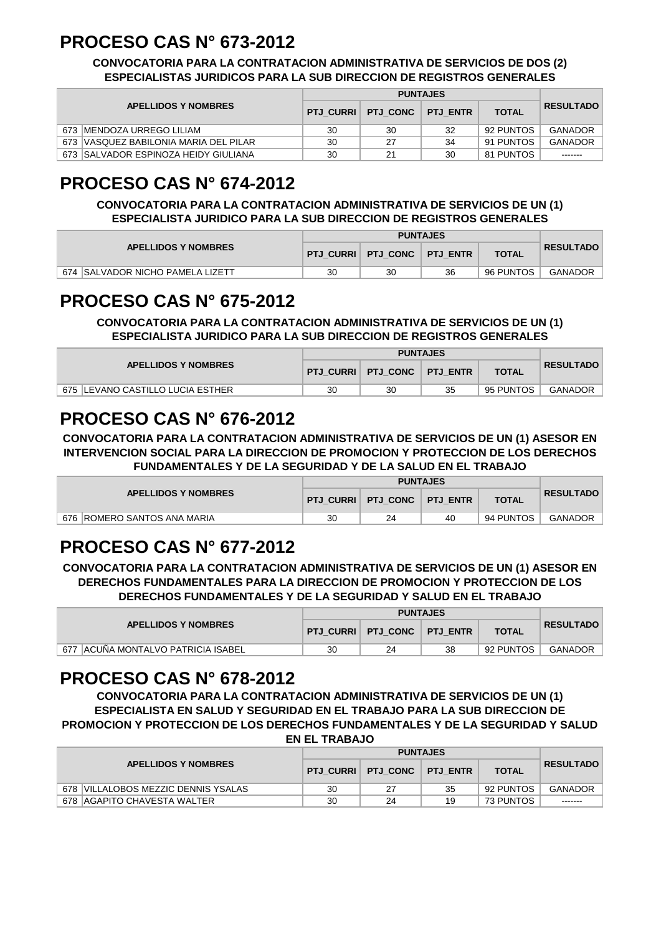## **PROCESO CAS N° 673-2012**

#### **CONVOCATORIA PARA LA CONTRATACION ADMINISTRATIVA DE SERVICIOS DE DOS (2) ESPECIALISTAS JURIDICOS PARA LA SUB DIRECCION DE REGISTROS GENERALES**

|  |                                       |    | <b>PUNTAJES</b>      |                 |              |                  |  |  |
|--|---------------------------------------|----|----------------------|-----------------|--------------|------------------|--|--|
|  | <b>APELLIDOS Y NOMBRES</b>            |    | PTJ CURRI   PTJ CONC | <b>PTJ ENTR</b> | <b>TOTAL</b> | <b>RESULTADO</b> |  |  |
|  | 673 IMENDOZA URREGO LILIAM            | 30 | 30                   | 32              | 92 PUNTOS    | GANADOR          |  |  |
|  | 673 VASQUEZ BABILONIA MARIA DEL PILAR | 30 | 27                   | 34              | 91 PUNTOS    | GANADOR          |  |  |
|  | 673 SALVADOR ESPINOZA HEIDY GIULIANA  | 30 | 21                   | 30              | 81 PUNTOS    | -------          |  |  |

## **PROCESO CAS N° 674-2012**

#### **CONVOCATORIA PARA LA CONTRATACION ADMINISTRATIVA DE SERVICIOS DE UN (1) ESPECIALISTA JURIDICO PARA LA SUB DIRECCION DE REGISTROS GENERALES**

| <b>APELLIDOS Y NOMBRES</b>       |    | <b>PUNTAJES</b>                 |    |              |                  |  |  |
|----------------------------------|----|---------------------------------|----|--------------|------------------|--|--|
|                                  |    | PTJ CURRI   PTJ CONC   PTJ ENTR |    | <b>TOTAL</b> | <b>RESULTADO</b> |  |  |
| 674 SALVADOR NICHO PAMELA LIZETT | 30 | 30                              | 36 | 96 PUNTOS    | <b>GANADOR</b>   |  |  |

## **PROCESO CAS N° 675-2012**

**CONVOCATORIA PARA LA CONTRATACION ADMINISTRATIVA DE SERVICIOS DE UN (1) ESPECIALISTA JURIDICO PARA LA SUB DIRECCION DE REGISTROS GENERALES**

|                                   |    | <b>PUNTAJES</b>                 |    |              |                  |  |  |
|-----------------------------------|----|---------------------------------|----|--------------|------------------|--|--|
| <b>APELLIDOS Y NOMBRES</b>        |    | PTJ CURRI   PTJ CONC   PTJ ENTR |    | <b>TOTAL</b> | <b>RESULTADO</b> |  |  |
| 675 ILEVANO CASTILLO LUCIA ESTHER | 30 | 30                              | 35 | 95 PUNTOS    | GANADOR          |  |  |

## **PROCESO CAS N° 676-2012**

**CONVOCATORIA PARA LA CONTRATACION ADMINISTRATIVA DE SERVICIOS DE UN (1) ASESOR EN INTERVENCION SOCIAL PARA LA DIRECCION DE PROMOCION Y PROTECCION DE LOS DERECHOS FUNDAMENTALES Y DE LA SEGURIDAD Y DE LA SALUD EN EL TRABAJO**

| <b>APELLIDOS Y NOMBRES</b>    |    | PTJ CURRI   PTJ CONC   PTJ ENTR |    | <b>TOTAL</b> | <b>RESULTADO</b> |
|-------------------------------|----|---------------------------------|----|--------------|------------------|
| 676   ROMERO SANTOS ANA MARIA | 30 | 24                              | 40 | 94 PUNTOS    | <b>GANADOR</b>   |

## **PROCESO CAS N° 677-2012**

**CONVOCATORIA PARA LA CONTRATACION ADMINISTRATIVA DE SERVICIOS DE UN (1) ASESOR EN DERECHOS FUNDAMENTALES PARA LA DIRECCION DE PROMOCION Y PROTECCION DE LOS DERECHOS FUNDAMENTALES Y DE LA SEGURIDAD Y SALUD EN EL TRABAJO**

|                                       |    | <b>PUNTAJES</b>      |                 |              |                  |  |  |
|---------------------------------------|----|----------------------|-----------------|--------------|------------------|--|--|
| <b>APELLIDOS Y NOMBRES</b>            |    | PTJ CURRI   PTJ CONC | <b>PTJ ENTR</b> | <b>TOTAL</b> | <b>RESULTADO</b> |  |  |
| 677<br>ACUÑA MONTALVO PATRICIA ISABEL | 30 | 24                   | 38              | 92 PUNTOS    | <b>GANADOR</b>   |  |  |

#### **PROCESO CAS N° 678-2012**

**CONVOCATORIA PARA LA CONTRATACION ADMINISTRATIVA DE SERVICIOS DE UN (1) ESPECIALISTA EN SALUD Y SEGURIDAD EN EL TRABAJO PARA LA SUB DIRECCION DE PROMOCION Y PROTECCION DE LOS DERECHOS FUNDAMENTALES Y DE LA SEGURIDAD Y SALUD EN EL TRABAJO**

| <b>APELLIDOS Y NOMBRES</b>          |    | PTJ CURRI   PTJ CONC   PTJ ENTR |    | <b>TOTAL</b> | <b>RESULTADO</b> |
|-------------------------------------|----|---------------------------------|----|--------------|------------------|
| 678 VILLALOBOS MEZZIC DENNIS YSALAS | 30 |                                 | 35 | 92 PUNTOS    | <b>GANADOR</b>   |
| 678 AGAPITO CHAVESTA WALTER         | 30 | 24                              | 19 | 73 PUNTOS    | -------          |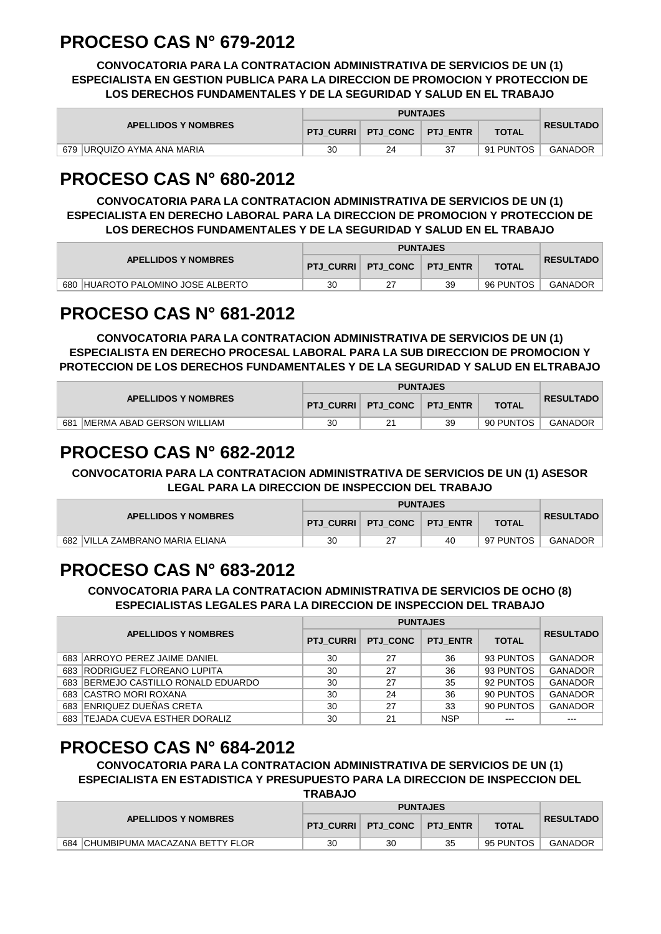## **PROCESO CAS N° 679-2012**

**CONVOCATORIA PARA LA CONTRATACION ADMINISTRATIVA DE SERVICIOS DE UN (1) ESPECIALISTA EN GESTION PUBLICA PARA LA DIRECCION DE PROMOCION Y PROTECCION DE LOS DERECHOS FUNDAMENTALES Y DE LA SEGURIDAD Y SALUD EN EL TRABAJO**

|                                       |    | <b>PUNTAJES</b>                 |  |              |                  |  |  |
|---------------------------------------|----|---------------------------------|--|--------------|------------------|--|--|
| <b>APELLIDOS Y NOMBRES</b>            |    | PTJ_CURRI   PTJ_CONC   PTJ_ENTR |  | <b>TOTAL</b> | <b>RESULTADO</b> |  |  |
| 679<br><b>IURQUIZO AYMA ANA MARIA</b> | 30 | 24                              |  | 91 PUNTOS    | <b>GANADOR</b>   |  |  |

## **PROCESO CAS N° 680-2012**

**CONVOCATORIA PARA LA CONTRATACION ADMINISTRATIVA DE SERVICIOS DE UN (1) ESPECIALISTA EN DERECHO LABORAL PARA LA DIRECCION DE PROMOCION Y PROTECCION DE LOS DERECHOS FUNDAMENTALES Y DE LA SEGURIDAD Y SALUD EN EL TRABAJO**

| <b>APELLIDOS Y NOMBRES</b>        |    | <b>PTJ CURRI PTJ CONC PTJ ENTR</b> |    | <b>TOTAL</b> | <b>RESULTADO</b> |
|-----------------------------------|----|------------------------------------|----|--------------|------------------|
| 680 HUAROTO PALOMINO JOSE ALBERTO | 30 |                                    | 39 | 96 PUNTOS    | GANADOR          |

## **PROCESO CAS N° 681-2012**

**CONVOCATORIA PARA LA CONTRATACION ADMINISTRATIVA DE SERVICIOS DE UN (1) ESPECIALISTA EN DERECHO PROCESAL LABORAL PARA LA SUB DIRECCION DE PROMOCION Y PROTECCION DE LOS DERECHOS FUNDAMENTALES Y DE LA SEGURIDAD Y SALUD EN ELTRABAJO**

| <b>APELLIDOS Y NOMBRES</b>       |    | PTJ_CURRI   PTJ_CONC   PTJ_ENTR |    | <b>TOTAL</b> | <b>RESULTADO</b> |
|----------------------------------|----|---------------------------------|----|--------------|------------------|
| 681<br>MERMA ABAD GERSON WILLIAM | 30 |                                 | 39 | 90 PUNTOS    | <b>GANADOR</b>   |

## **PROCESO CAS N° 682-2012**

**CONVOCATORIA PARA LA CONTRATACION ADMINISTRATIVA DE SERVICIOS DE UN (1) ASESOR LEGAL PARA LA DIRECCION DE INSPECCION DEL TRABAJO**

|                                    |    | <b>PUNTAJES</b>                    |    |              |                  |  |  |
|------------------------------------|----|------------------------------------|----|--------------|------------------|--|--|
| <b>APELLIDOS Y NOMBRES</b>         |    | <b>PTJ CURRI PTJ CONC PTJ ENTR</b> |    | <b>TOTAL</b> | <b>RESULTADO</b> |  |  |
| 682<br>VILLA ZAMBRANO MARIA ELIANA | 30 |                                    | 40 | 97 PUNTOS    | <b>GANADOR</b>   |  |  |

## **PROCESO CAS N° 683-2012**

**CONVOCATORIA PARA LA CONTRATACION ADMINISTRATIVA DE SERVICIOS DE OCHO (8) ESPECIALISTAS LEGALES PARA LA DIRECCION DE INSPECCION DEL TRABAJO**

|     |                                     |                  | <b>PUNTAJES</b> |                 |              |                  |
|-----|-------------------------------------|------------------|-----------------|-----------------|--------------|------------------|
|     | <b>APELLIDOS Y NOMBRES</b>          | <b>PTJ CURRI</b> | PTJ CONC        | <b>PTJ ENTR</b> | <b>TOTAL</b> | <b>RESULTADO</b> |
|     | 683 ARROYO PEREZ JAIME DANIEL       | 30               | 27              | 36              | 93 PUNTOS    | <b>GANADOR</b>   |
|     | 683 RODRIGUEZ FLOREANO LUPITA       | 30               | 27              | 36              | 93 PUNTOS    | <b>GANADOR</b>   |
|     | 683 BERMEJO CASTILLO RONALD EDUARDO | 30               | 27              | 35              | 92 PUNTOS    | <b>GANADOR</b>   |
|     | 683 CASTRO MORI ROXANA              | 30               | 24              | 36              | 90 PUNTOS    | <b>GANADOR</b>   |
|     | 683 ENRIQUEZ DUEÑAS CRETA           | 30               | 27              | 33              | 90 PUNTOS    | <b>GANADOR</b>   |
| 683 | <b>TEJADA CUEVA ESTHER DORALIZ</b>  | 30               | 21              | <b>NSP</b>      | $- - -$      | $- - -$          |

## **PROCESO CAS N° 684-2012**

**CONVOCATORIA PARA LA CONTRATACION ADMINISTRATIVA DE SERVICIOS DE UN (1) ESPECIALISTA EN ESTADISTICA Y PRESUPUESTO PARA LA DIRECCION DE INSPECCION DEL** 

**TRABAJO**

|                                       |    | <b>PUNTAJES</b>      |                 |              |                  |  |  |
|---------------------------------------|----|----------------------|-----------------|--------------|------------------|--|--|
| <b>APELLIDOS Y NOMBRES</b>            |    | PTJ CURRI   PTJ CONC | <b>PTJ ENTR</b> | <b>TOTAL</b> | <b>RESULTADO</b> |  |  |
| CHUMBIPUMA MACAZANA BETTY FLOR<br>684 | 30 | 30                   | 35              | 95 PUNTOS    | GANADOR          |  |  |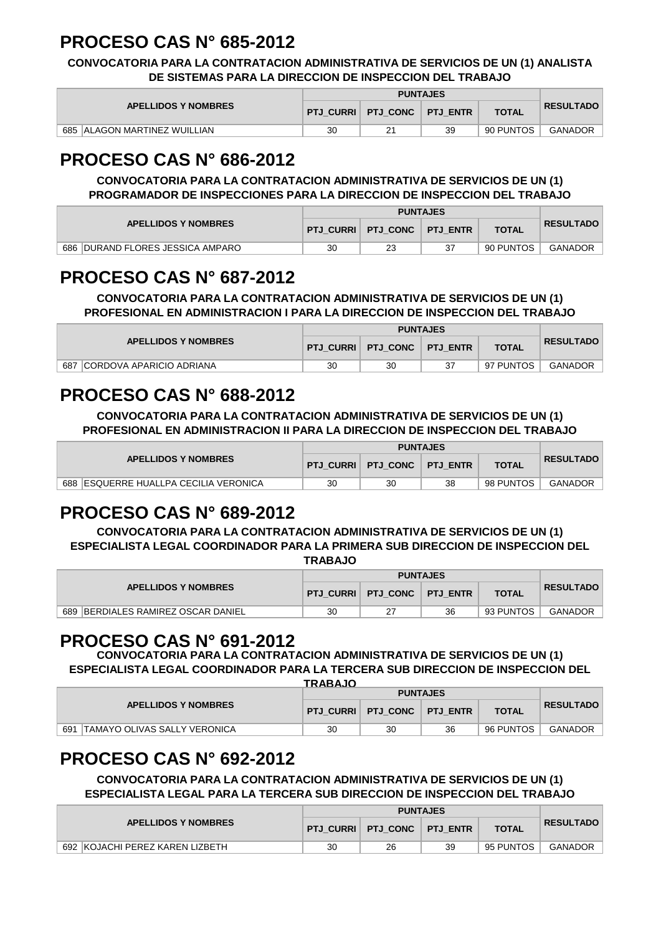## **PROCESO CAS N° 685-2012**

**CONVOCATORIA PARA LA CONTRATACION ADMINISTRATIVA DE SERVICIOS DE UN (1) ANALISTA DE SISTEMAS PARA LA DIRECCION DE INSPECCION DEL TRABAJO**

| <b>APELLIDOS Y NOMBRES</b>         | <b>PTJ CURRI</b> | PTJ CONC PTJ ENTR |    | <b>TOTAL</b> | <b>RESULTADO</b> |
|------------------------------------|------------------|-------------------|----|--------------|------------------|
| 685<br>i  ALAGON MARTINEZ WUILLIAN | 30               | 21                | 39 | 90 PUNTOS    | <b>GANADOR</b>   |

## **PROCESO CAS N° 686-2012**

#### **CONVOCATORIA PARA LA CONTRATACION ADMINISTRATIVA DE SERVICIOS DE UN (1) PROGRAMADOR DE INSPECCIONES PARA LA DIRECCION DE INSPECCION DEL TRABAJO**

| <b>APELLIDOS Y NOMBRES</b>                  |    | <b>PTJ CURRI PTJ CONC FTJ ENTR</b> |  | <b>TOTAL</b> | <b>RESULTADO</b> |
|---------------------------------------------|----|------------------------------------|--|--------------|------------------|
| <b>IDURAND FLORES JESSICA AMPARO</b><br>686 | 30 | 23                                 |  | 90 PUNTOS    | <b>GANADOR</b>   |

## **PROCESO CAS N° 687-2012**

**CONVOCATORIA PARA LA CONTRATACION ADMINISTRATIVA DE SERVICIOS DE UN (1) PROFESIONAL EN ADMINISTRACION I PARA LA DIRECCION DE INSPECCION DEL TRABAJO**

| <b>APELLIDOS Y NOMBRES</b>             |    | <b>PTJ CURRI PTJ CONC PTJ ENTR</b> |  | <b>TOTAL</b> | <b>RESULTADO</b> |
|----------------------------------------|----|------------------------------------|--|--------------|------------------|
| <b>CORDOVA APARICIO ADRIANA</b><br>687 | 30 | 30                                 |  | 97 PUNTOS    | GANADOR          |

# **PROCESO CAS N° 688-2012**

**CONVOCATORIA PARA LA CONTRATACION ADMINISTRATIVA DE SERVICIOS DE UN (1) PROFESIONAL EN ADMINISTRACION II PARA LA DIRECCION DE INSPECCION DEL TRABAJO**

| <b>APELLIDOS Y NOMBRES</b>            |    | PTJ CURRI   PTJ CONC | <b>PTJ ENTR</b> | <b>TOTAL</b> | <b>RESULTADO</b> |
|---------------------------------------|----|----------------------|-----------------|--------------|------------------|
| 688 ESQUERRE HUALLPA CECILIA VERONICA | 30 | 30                   | 38              | 98 PUNTOS    | GANADOR          |

## **PROCESO CAS N° 689-2012**

**CONVOCATORIA PARA LA CONTRATACION ADMINISTRATIVA DE SERVICIOS DE UN (1) ESPECIALISTA LEGAL COORDINADOR PARA LA PRIMERA SUB DIRECCION DE INSPECCION DEL TRABAJO**

|                                               |    |                      | <b>PUNTAJES</b> |              |                  |
|-----------------------------------------------|----|----------------------|-----------------|--------------|------------------|
| <b>APELLIDOS Y NOMBRES</b>                    |    | PTJ CURRI   PTJ CONC | <b>PTJ ENTR</b> | <b>TOTAL</b> | <b>RESULTADO</b> |
| <b>IBERDIALES RAMIREZ OSCAR DANIEL</b><br>689 | 30 |                      | 36              | 93 PUNTOS    | <b>GANADOR</b>   |

#### **PROCESO CAS N° 691-2012**

**CONVOCATORIA PARA LA CONTRATACION ADMINISTRATIVA DE SERVICIOS DE UN (1) ESPECIALISTA LEGAL COORDINADOR PARA LA TERCERA SUB DIRECCION DE INSPECCION DEL** 

| <b>TRABAJO</b>                      |    |                                 |                 |              |                  |  |  |  |
|-------------------------------------|----|---------------------------------|-----------------|--------------|------------------|--|--|--|
|                                     |    |                                 |                 |              |                  |  |  |  |
| <b>APELLIDOS Y NOMBRES</b>          |    | PTJ CURRI   PTJ CONC   PTJ ENTR |                 | <b>TOTAL</b> | <b>RESULTADO</b> |  |  |  |
| 691<br>TAMAYO OLIVAS SALLY VERONICA | 30 | 30                              | 36              | 96 PUNTOS    | <b>GANADOR</b>   |  |  |  |
|                                     |    |                                 | <b>PUNTAJES</b> |              |                  |  |  |  |

## **PROCESO CAS N° 692-2012**

**CONVOCATORIA PARA LA CONTRATACION ADMINISTRATIVA DE SERVICIOS DE UN (1) ESPECIALISTA LEGAL PARA LA TERCERA SUB DIRECCION DE INSPECCION DEL TRABAJO**

|  |                                 | <b>PUNTAJES</b> |                                 |    |              |                  |  |
|--|---------------------------------|-----------------|---------------------------------|----|--------------|------------------|--|
|  | <b>APELLIDOS Y NOMBRES</b>      |                 | PTJ CURRI   PTJ CONC   PTJ ENTR |    | <b>TOTAL</b> | <b>RESULTADO</b> |  |
|  | 692 KOJACHI PEREZ KAREN LIZBETH | 30              | 26                              | 39 | 95 PUNTOS    | <b>GANADOR</b>   |  |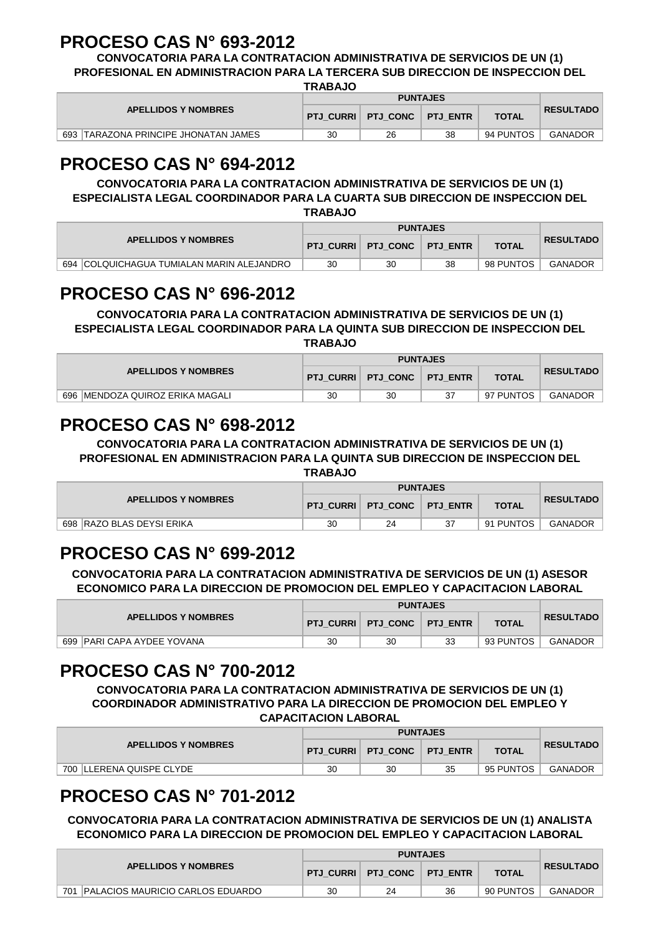## **PROCESO CAS N° 693-2012**

**CONVOCATORIA PARA LA CONTRATACION ADMINISTRATIVA DE SERVICIOS DE UN (1) PROFESIONAL EN ADMINISTRACION PARA LA TERCERA SUB DIRECCION DE INSPECCION DEL** 

**TRABAJO**

|                                      | .  |                                 |    |              |                  |
|--------------------------------------|----|---------------------------------|----|--------------|------------------|
|                                      |    |                                 |    |              |                  |
| <b>APELLIDOS Y NOMBRES</b>           |    | PTJ CURRI   PTJ CONC   PTJ ENTR |    | <b>TOTAL</b> | <b>RESULTADO</b> |
| 693 TARAZONA PRINCIPE JHONATAN JAMES | 30 | 26                              | 38 | 94 PUNTOS    | <b>GANADOR</b>   |

## **PROCESO CAS N° 694-2012**

#### **CONVOCATORIA PARA LA CONTRATACION ADMINISTRATIVA DE SERVICIOS DE UN (1) ESPECIALISTA LEGAL COORDINADOR PARA LA CUARTA SUB DIRECCION DE INSPECCION DEL**

**TRABAJO**

|                                              |    |                                    | <b>PUNTAJES</b> |              |                  |
|----------------------------------------------|----|------------------------------------|-----------------|--------------|------------------|
| <b>APELLIDOS Y NOMBRES</b>                   |    | <b>PTJ CURRI PTJ CONC PTJ ENTR</b> |                 | <b>TOTAL</b> | <b>RESULTADO</b> |
| 694<br>COLQUICHAGUA TUMIALAN MARIN ALEJANDRO | 30 | 30                                 | 38              | 98 PUNTOS    | <b>GANADOR</b>   |

## **PROCESO CAS N° 696-2012**

#### **CONVOCATORIA PARA LA CONTRATACION ADMINISTRATIVA DE SERVICIOS DE UN (1) ESPECIALISTA LEGAL COORDINADOR PARA LA QUINTA SUB DIRECCION DE INSPECCION DEL TRABAJO**

|                                     |    | <b>PUNTAJES</b>      |                 |              |                  |  |  |
|-------------------------------------|----|----------------------|-----------------|--------------|------------------|--|--|
| <b>APELLIDOS Y NOMBRES</b>          |    | PTJ CURRI   PTJ CONC | <b>PTJ ENTR</b> | <b>TOTAL</b> | <b>RESULTADO</b> |  |  |
| IMENDOZA QUIROZ ERIKA MAGALI<br>696 | 30 | 30                   |                 | 97 PUNTOS    | <b>GANADOR</b>   |  |  |

## **PROCESO CAS N° 698-2012**

**CONVOCATORIA PARA LA CONTRATACION ADMINISTRATIVA DE SERVICIOS DE UN (1) PROFESIONAL EN ADMINISTRACION PARA LA QUINTA SUB DIRECCION DE INSPECCION DEL TRABAJO**

| <b>APELLIDOS Y NOMBRES</b> |    |                                 |    |              |                  |
|----------------------------|----|---------------------------------|----|--------------|------------------|
|                            |    | PTJ CURRI   PTJ CONC   PTJ ENTR |    | <b>TOTAL</b> | <b>RESULTADO</b> |
| 698 RAZO BLAS DEYSI ERIKA  | 30 | 24                              | 37 | 91 PUNTOS    | <b>GANADOR</b>   |

# **PROCESO CAS N° 699-2012**

**CONVOCATORIA PARA LA CONTRATACION ADMINISTRATIVA DE SERVICIOS DE UN (1) ASESOR ECONOMICO PARA LA DIRECCION DE PROMOCION DEL EMPLEO Y CAPACITACION LABORAL**

| <b>APELLIDOS Y NOMBRES</b>       |    | PTJ CURRI   PTJ CONC   PTJ ENTR |    | <b>TOTAL</b> | <b>RESULTADO</b> |
|----------------------------------|----|---------------------------------|----|--------------|------------------|
| 699<br>I IPARI CAPA AYDEE YOVANA | 30 | 30                              | 33 | 93 PUNTOS    | GANADOR          |

## **PROCESO CAS N° 700-2012**

**CONVOCATORIA PARA LA CONTRATACION ADMINISTRATIVA DE SERVICIOS DE UN (1) COORDINADOR ADMINISTRATIVO PARA LA DIRECCION DE PROMOCION DEL EMPLEO Y CAPACITACION LABORAL**

| <b>APELLIDOS Y NOMBRES</b> |    |                                    |    |              |                  |
|----------------------------|----|------------------------------------|----|--------------|------------------|
|                            |    | <b>PTJ CURRI PTJ CONC PTJ ENTR</b> |    | <b>TOTAL</b> | <b>RESULTADO</b> |
| 700   LLERENA QUISPE CLYDE | 30 | 30                                 | 35 | 95 PUNTOS    | <b>GANADOR</b>   |

## **PROCESO CAS N° 701-2012**

**CONVOCATORIA PARA LA CONTRATACION ADMINISTRATIVA DE SERVICIOS DE UN (1) ANALISTA ECONOMICO PARA LA DIRECCION DE PROMOCION DEL EMPLEO Y CAPACITACION LABORAL**

| <b>APELLIDOS Y NOMBRES</b>                     |    |                      |                 |              |                  |
|------------------------------------------------|----|----------------------|-----------------|--------------|------------------|
|                                                |    | PTJ CURRI   PTJ CONC | <b>PTJ ENTR</b> | <b>TOTAL</b> | <b>RESULTADO</b> |
| <b>PALACIOS MAURICIO CARLOS EDUARDO</b><br>701 | 30 | 24                   | 36              | 90 PUNTOS    | GANADOR          |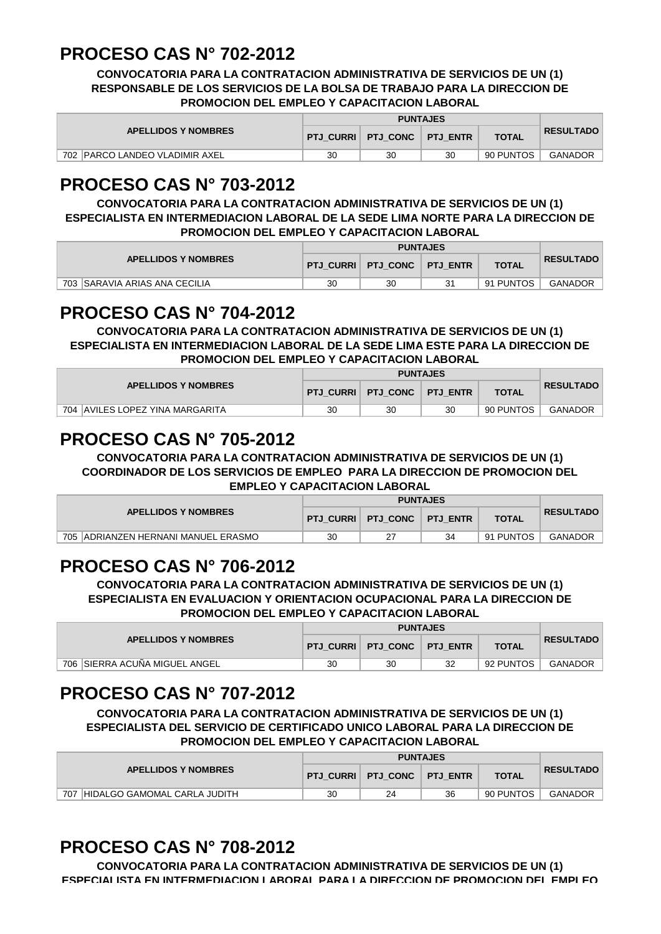#### **PROCESO CAS N° 702-2012**

**CONVOCATORIA PARA LA CONTRATACION ADMINISTRATIVA DE SERVICIOS DE UN (1) RESPONSABLE DE LOS SERVICIOS DE LA BOLSA DE TRABAJO PARA LA DIRECCION DE PROMOCION DEL EMPLEO Y CAPACITACION LABORAL**

| <b>APELLIDOS Y NOMBRES</b>     |    | PTJ CURRI   PTJ CONC   PTJ ENTR |    | <b>TOTAL</b> | <b>RESULTADO</b> |
|--------------------------------|----|---------------------------------|----|--------------|------------------|
| 702 PARCO LANDEO VLADIMIR AXEL | 30 | 30                              | 30 | 90 PUNTOS    | <b>GANADOR</b>   |

## **PROCESO CAS N° 703-2012**

**CONVOCATORIA PARA LA CONTRATACION ADMINISTRATIVA DE SERVICIOS DE UN (1) ESPECIALISTA EN INTERMEDIACION LABORAL DE LA SEDE LIMA NORTE PARA LA DIRECCION DE PROMOCION DEL EMPLEO Y CAPACITACION LABORAL**

| <b>APELLIDOS Y NOMBRES</b>     | <b>PTJ CURRI</b> | PTJ CONC FTJ ENTR | <b>TOTAL</b> | <b>RESULTADO</b> |
|--------------------------------|------------------|-------------------|--------------|------------------|
| 703 ISARAVIA ARIAS ANA CECILIA | 30               | 30                | 91 PUNTOS    | GANADOR          |

#### **PROCESO CAS N° 704-2012**

**CONVOCATORIA PARA LA CONTRATACION ADMINISTRATIVA DE SERVICIOS DE UN (1) ESPECIALISTA EN INTERMEDIACION LABORAL DE LA SEDE LIMA ESTE PARA LA DIRECCION DE PROMOCION DEL EMPLEO Y CAPACITACION LABORAL**

| <b>APELLIDOS Y NOMBRES</b>        |    | $\mid$ PTJ CURRI $\mid$ PTJ CONC $\mid$ $\mid$ | <b>PTJ ENTR</b> | <b>TOTAL</b> | <b>RESULTADO</b> |
|-----------------------------------|----|------------------------------------------------|-----------------|--------------|------------------|
| 704   AVILES LOPEZ YINA MARGARITA | 30 | 30                                             | 30              | 90 PUNTOS    | GANADOR          |

## **PROCESO CAS N° 705-2012**

**CONVOCATORIA PARA LA CONTRATACION ADMINISTRATIVA DE SERVICIOS DE UN (1) COORDINADOR DE LOS SERVICIOS DE EMPLEO PARA LA DIRECCION DE PROMOCION DEL EMPLEO Y CAPACITACION LABORAL**

| <b>APELLIDOS Y NOMBRES</b>                     |    | PTJ CURRI   PTJ CONC | <b>PTJ ENTR</b> | <b>TOTAL</b> | <b>RESULTADO</b> |
|------------------------------------------------|----|----------------------|-----------------|--------------|------------------|
| 705<br><b>JADRIANZEN HERNANI MANUEL ERASMO</b> | 30 |                      | 34              | 91 PUNTOS    | <b>GANADOR</b>   |

#### **PROCESO CAS N° 706-2012**

**CONVOCATORIA PARA LA CONTRATACION ADMINISTRATIVA DE SERVICIOS DE UN (1) ESPECIALISTA EN EVALUACION Y ORIENTACION OCUPACIONAL PARA LA DIRECCION DE PROMOCION DEL EMPLEO Y CAPACITACION LABORAL**

| <b>APELLIDOS Y NOMBRES</b>    |    |                                    |    |              |                  |
|-------------------------------|----|------------------------------------|----|--------------|------------------|
|                               |    | <b>PTJ CURRI PTJ CONC PTJ ENTR</b> |    | <b>TOTAL</b> | <b>RESULTADO</b> |
| 706 SIERRA ACUÑA MIGUEL ANGEL | 30 | 30                                 | 32 | 92 PUNTOS    | GANADOR          |

## **PROCESO CAS N° 707-2012**

**CONVOCATORIA PARA LA CONTRATACION ADMINISTRATIVA DE SERVICIOS DE UN (1) ESPECIALISTA DEL SERVICIO DE CERTIFICADO UNICO LABORAL PARA LA DIRECCION DE PROMOCION DEL EMPLEO Y CAPACITACION LABORAL**

| <b>APELLIDOS Y NOMBRES</b>          |    |                      |                 |              |                  |
|-------------------------------------|----|----------------------|-----------------|--------------|------------------|
|                                     |    | PTJ CURRI   PTJ CONC | <b>PTJ ENTR</b> | <b>TOTAL</b> | <b>RESULTADO</b> |
| 707<br>HIDALGO GAMOMAL CARLA JUDITH | 30 | 24                   | 36              | 90 PUNTOS    | <b>GANADOR</b>   |

# **PROCESO CAS N° 708-2012**

**CONVOCATORIA PARA LA CONTRATACION ADMINISTRATIVA DE SERVICIOS DE UN (1) ESPECIALISTA EN INTERMEDIACION LABORAL PARA LA DIRECCION DE PROMOCION DEL EMPLEO**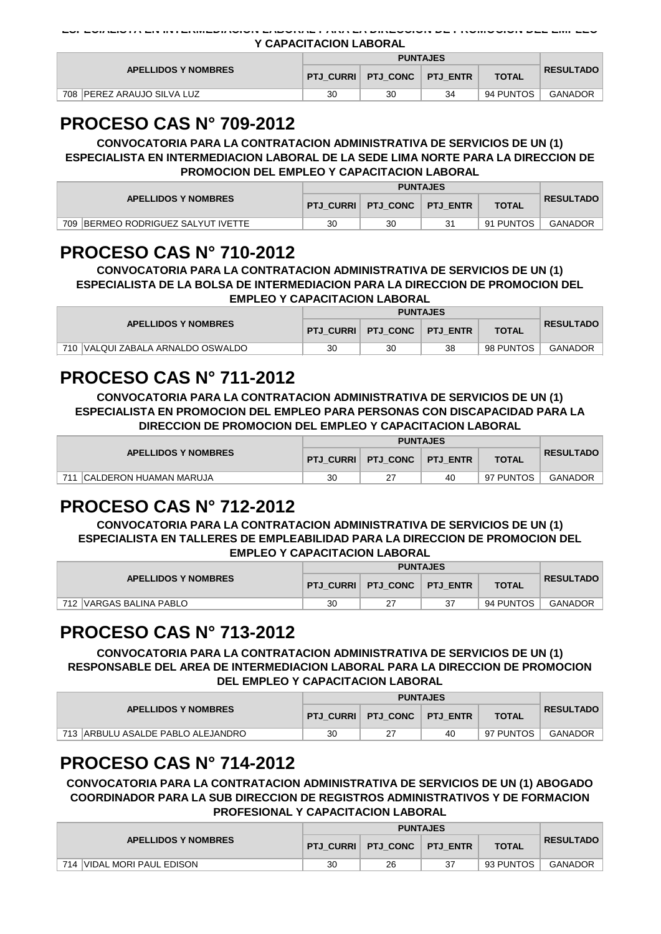| Y CAPACITACION LABORAL |
|------------------------|
|                        |

| <b>APELLIDOS Y NOMBRES</b>       |    |                      |          |              |                  |
|----------------------------------|----|----------------------|----------|--------------|------------------|
|                                  |    | PTJ CURRI   PTJ CONC | PTJ ENTR | <b>TOTAL</b> | <b>RESULTADO</b> |
| 708<br>. IPEREZ ARAUJO SILVA LUZ | 30 | 30                   | 34       | 94 PUNTOS    | <b>GANADOR</b>   |

## **PROCESO CAS N° 709-2012**

**CONVOCATORIA PARA LA CONTRATACION ADMINISTRATIVA DE SERVICIOS DE UN (1) ESPECIALISTA EN INTERMEDIACION LABORAL DE LA SEDE LIMA NORTE PARA LA DIRECCION DE PROMOCION DEL EMPLEO Y CAPACITACION LABORAL**

| <b>APELLIDOS Y NOMBRES</b>            |    | PTJ_CURRI   PTJ_CONC   PTJ_ENTR | <b>TOTAL</b> | <b>RESULTADO</b> |
|---------------------------------------|----|---------------------------------|--------------|------------------|
| 709<br>BERMEO RODRIGUEZ SALYUT IVETTE | 30 | 30                              | 91 PUNTOS    | <b>GANADOR</b>   |

#### **PROCESO CAS N° 710-2012**

**CONVOCATORIA PARA LA CONTRATACION ADMINISTRATIVA DE SERVICIOS DE UN (1) ESPECIALISTA DE LA BOLSA DE INTERMEDIACION PARA LA DIRECCION DE PROMOCION DEL EMPLEO Y CAPACITACION LABORAL**

| <b>APELLIDOS Y NOMBRES</b>        |    | <b>PTJ CURRI PTJ CONC PTJ ENTR</b> |    | <b>TOTAL</b> | <b>RESULTADO</b> |
|-----------------------------------|----|------------------------------------|----|--------------|------------------|
| 710 VALQUI ZABALA ARNALDO OSWALDO | 30 | 30                                 | 38 | 98 PUNTOS    | GANADOR          |

## **PROCESO CAS N° 711-2012**

**CONVOCATORIA PARA LA CONTRATACION ADMINISTRATIVA DE SERVICIOS DE UN (1) ESPECIALISTA EN PROMOCION DEL EMPLEO PARA PERSONAS CON DISCAPACIDAD PARA LA DIRECCION DE PROMOCION DEL EMPLEO Y CAPACITACION LABORAL**

| <b>APELLIDOS Y NOMBRES</b>     |    | PTJ CURRI   PTJ CONC   PTJ ENTR |    | <b>TOTAL</b> | <b>RESULTADO</b> |
|--------------------------------|----|---------------------------------|----|--------------|------------------|
| 711<br>ICALDERON HUAMAN MARUJA | 30 | 27                              | 40 | 97 PUNTOS    | GANADOR          |

#### **PROCESO CAS N° 712-2012**

**CONVOCATORIA PARA LA CONTRATACION ADMINISTRATIVA DE SERVICIOS DE UN (1) ESPECIALISTA EN TALLERES DE EMPLEABILIDAD PARA LA DIRECCION DE PROMOCION DEL EMPLEO Y CAPACITACION LABORAL**

| <b>APELLIDOS Y NOMBRES</b> |    | PTJ CURRI   PTJ CONC   PTJ ENTR | <b>TOTAL</b> | <b>RESULTADO</b> |
|----------------------------|----|---------------------------------|--------------|------------------|
| 712 IVARGAS BALINA PABLO   | 30 |                                 | 94 PUNTOS    | GANADOR          |

#### **PROCESO CAS N° 713-2012**

**CONVOCATORIA PARA LA CONTRATACION ADMINISTRATIVA DE SERVICIOS DE UN (1) RESPONSABLE DEL AREA DE INTERMEDIACION LABORAL PARA LA DIRECCION DE PROMOCION DEL EMPLEO Y CAPACITACION LABORAL**

| <b>APELLIDOS Y NOMBRES</b>        |    | PTJ CURRI   PTJ CONC | <b>PTJ ENTR</b> | <b>TOTAL</b> | <b>RESULTADO</b> |
|-----------------------------------|----|----------------------|-----------------|--------------|------------------|
| 713 ARBULU ASALDE PABLO ALEJANDRO | 30 |                      | 40              | 97 PUNTOS    | <b>GANADOR</b>   |

## **PROCESO CAS N° 714-2012**

**CONVOCATORIA PARA LA CONTRATACION ADMINISTRATIVA DE SERVICIOS DE UN (1) ABOGADO COORDINADOR PARA LA SUB DIRECCION DE REGISTROS ADMINISTRATIVOS Y DE FORMACION PROFESIONAL Y CAPACITACION LABORAL**

| <b>APELLIDOS Y NOMBRES</b> |    | PTJ CURRI   PTJ CONC   PTJ ENTR |    | <b>TOTAL</b> | <b>RESULTADO</b> |
|----------------------------|----|---------------------------------|----|--------------|------------------|
| 714 VIDAL MORI PAUL EDISON | 30 | 26                              | 37 | 93 PUNTOS    | <b>GANADOR</b>   |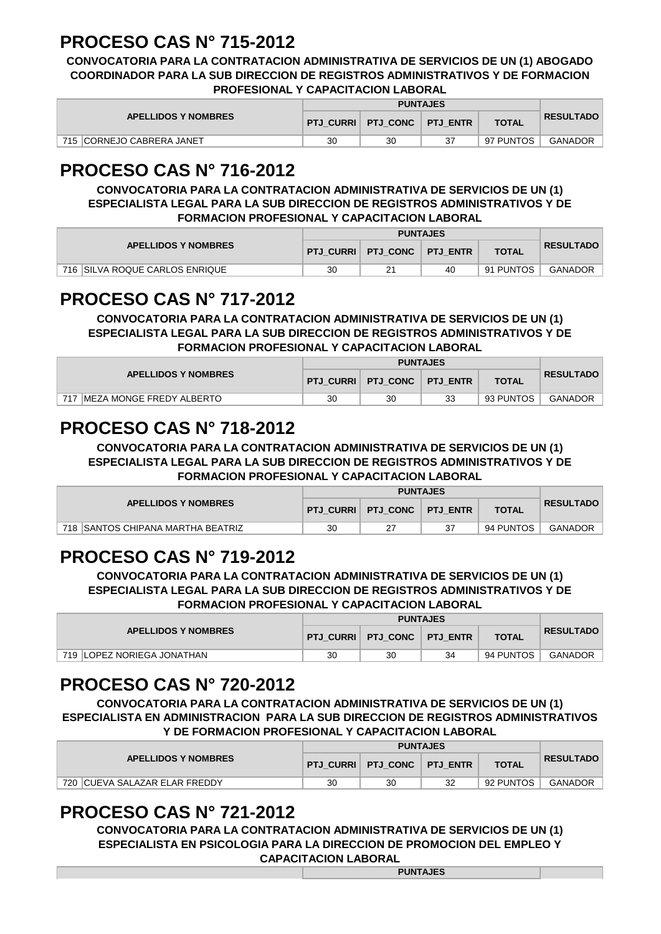## **PROCESO CAS N° 715-2012**

**CONVOCATORIA PARA LA CONTRATACION ADMINISTRATIVA DE SERVICIOS DE UN (1) ABOGADO COORDINADOR PARA LA SUB DIRECCION DE REGISTROS ADMINISTRATIVOS Y DE FORMACION PROFESIONAL Y CAPACITACION LABORAL**

| <b>APELLIDOS Y NOMBRES</b> |    | PTJ CURRI   PTJ CONC   PTJ ENTR |  | <b>TOTAL</b> | <b>RESULTADO</b> |
|----------------------------|----|---------------------------------|--|--------------|------------------|
| 715 CORNEJO CABRERA JANET  | 30 | 30                              |  | 97 PUNTOS    | <b>GANADOR</b>   |

## **PROCESO CAS N° 716-2012**

**CONVOCATORIA PARA LA CONTRATACION ADMINISTRATIVA DE SERVICIOS DE UN (1) ESPECIALISTA LEGAL PARA LA SUB DIRECCION DE REGISTROS ADMINISTRATIVOS Y DE FORMACION PROFESIONAL Y CAPACITACION LABORAL**

| <b>APELLIDOS Y NOMBRES</b>     |    | PTJ CURRI   PTJ CONC   PTJ ENTR |    | <b>TOTAL</b> | <b>RESULTADO</b> |
|--------------------------------|----|---------------------------------|----|--------------|------------------|
| 716 SILVA ROQUE CARLOS ENRIQUE | 30 | 21                              | 40 | 91 PUNTOS    | GANADOR          |

## **PROCESO CAS N° 717-2012**

**CONVOCATORIA PARA LA CONTRATACION ADMINISTRATIVA DE SERVICIOS DE UN (1) ESPECIALISTA LEGAL PARA LA SUB DIRECCION DE REGISTROS ADMINISTRATIVOS Y DE FORMACION PROFESIONAL Y CAPACITACION LABORAL**

| <b>APELLIDOS Y NOMBRES</b>    |    | PTJ CURRI   PTJ CONC   PTJ ENTR |    | <b>TOTAL</b> | <b>RESULTADO</b> |
|-------------------------------|----|---------------------------------|----|--------------|------------------|
| 717 IMEZA MONGE FREDY ALBERTO | 30 | 30                              | 33 | 93 PUNTOS    | GANADOR          |

## **PROCESO CAS N° 718-2012**

**CONVOCATORIA PARA LA CONTRATACION ADMINISTRATIVA DE SERVICIOS DE UN (1) ESPECIALISTA LEGAL PARA LA SUB DIRECCION DE REGISTROS ADMINISTRATIVOS Y DE FORMACION PROFESIONAL Y CAPACITACION LABORAL**

| <b>APELLIDOS Y NOMBRES</b>        |    | PTJ CURRI   PTJ CONC | <b>PTJ ENTR</b> | <b>TOTAL</b> | <b>RESULTADO</b> |
|-----------------------------------|----|----------------------|-----------------|--------------|------------------|
| 718 SANTOS CHIPANA MARTHA BEATRIZ | 30 |                      |                 | 94 PUNTOS    | GANADOR          |

## **PROCESO CAS N° 719-2012**

**CONVOCATORIA PARA LA CONTRATACION ADMINISTRATIVA DE SERVICIOS DE UN (1) ESPECIALISTA LEGAL PARA LA SUB DIRECCION DE REGISTROS ADMINISTRATIVOS Y DE FORMACION PROFESIONAL Y CAPACITACION LABORAL**

| <b>APELLIDOS Y NOMBRES</b>  |    | <b>PTJ_CURRI PTJ_CONC PTJ_ENTR</b> |    | <b>TOTAL</b> | <b>RESULTADO</b> |
|-----------------------------|----|------------------------------------|----|--------------|------------------|
| 719 ILOPEZ NORIEGA JONATHAN | 30 | 30                                 | 34 | 94 PUNTOS    | <b>GANADOR</b>   |

## **PROCESO CAS N° 720-2012**

**CONVOCATORIA PARA LA CONTRATACION ADMINISTRATIVA DE SERVICIOS DE UN (1) ESPECIALISTA EN ADMINISTRACION PARA LA SUB DIRECCION DE REGISTROS ADMINISTRATIVOS Y DE FORMACION PROFESIONAL Y CAPACITACION LABORAL**

| <b>APELLIDOS Y NOMBRES</b>     |    | PTJ CURRI   PTJ CONC   PTJ ENTR |    | <b>TOTAL</b> | <b>RESULTADO</b> |
|--------------------------------|----|---------------------------------|----|--------------|------------------|
| 720 ICUEVA SALAZAR ELAR FREDDY | 30 | 30                              | 32 | 92 PUNTOS    | <b>GANADOR</b>   |

## **PROCESO CAS N° 721-2012**

**CONVOCATORIA PARA LA CONTRATACION ADMINISTRATIVA DE SERVICIOS DE UN (1) ESPECIALISTA EN PSICOLOGIA PARA LA DIRECCION DE PROMOCION DEL EMPLEO Y CAPACITACION LABORAL PUNTAJES**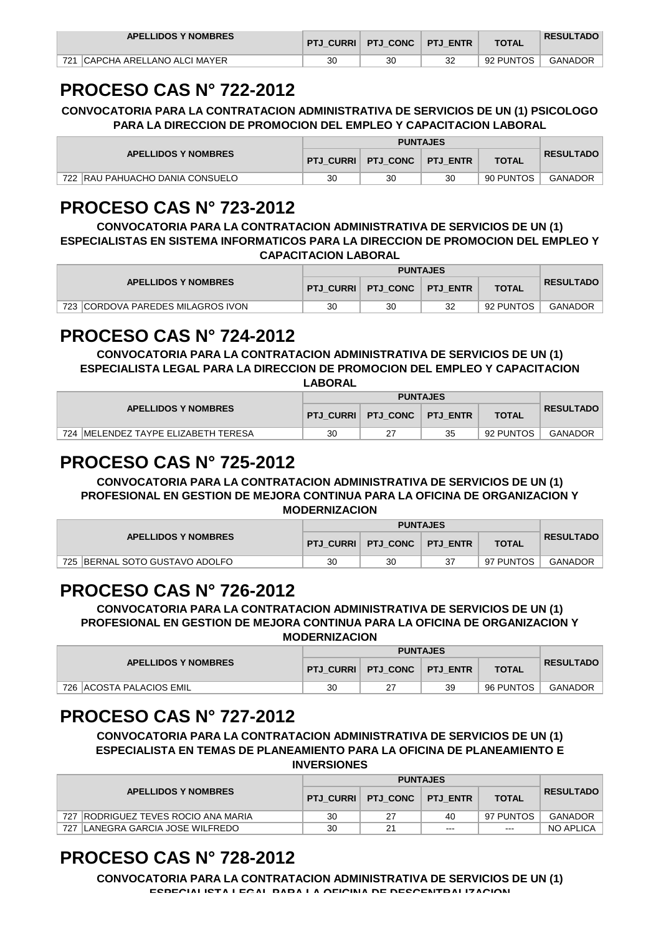| <b>APELLIDOS Y NOMBRES</b>       |    | PTJ CURRI   PTJ CONC   PTJ ENTR |    | <b>TOTAL</b> | <b>RESULTADO</b> |
|----------------------------------|----|---------------------------------|----|--------------|------------------|
| 721   CAPCHA ARELLANO ALCI MAYER | 30 | 30                              | 32 | 92 PUNTOS    | GANADOR          |

## **PROCESO CAS N° 722-2012**

**CONVOCATORIA PARA LA CONTRATACION ADMINISTRATIVA DE SERVICIOS DE UN (1) PSICOLOGO PARA LA DIRECCION DE PROMOCION DEL EMPLEO Y CAPACITACION LABORAL**

| <b>APELLIDOS Y NOMBRES</b>      | <b>PTJ CURRI</b> | PTJ CONC   PTJ ENTR |    | <b>TOTAL</b> | <b>RESULTADO</b> |
|---------------------------------|------------------|---------------------|----|--------------|------------------|
| 722 RAU PAHUACHO DANIA CONSUELO | 30               | 30                  | 30 | 90 PUNTOS    | <b>GANADOR</b>   |

## **PROCESO CAS N° 723-2012**

**CONVOCATORIA PARA LA CONTRATACION ADMINISTRATIVA DE SERVICIOS DE UN (1) ESPECIALISTAS EN SISTEMA INFORMATICOS PARA LA DIRECCION DE PROMOCION DEL EMPLEO Y CAPACITACION LABORAL**

| <b>APELLIDOS Y NOMBRES</b>        |    |                      |                 |              |                  |
|-----------------------------------|----|----------------------|-----------------|--------------|------------------|
|                                   |    | PTJ CURRI   PTJ CONC | <b>PTJ ENTR</b> | <b>TOTAL</b> | <b>RESULTADO</b> |
| 723 CORDOVA PAREDES MILAGROS IVON | 30 | 30                   | 32              | 92 PUNTOS    | GANADOR          |

## **PROCESO CAS N° 724-2012**

**CONVOCATORIA PARA LA CONTRATACION ADMINISTRATIVA DE SERVICIOS DE UN (1) ESPECIALISTA LEGAL PARA LA DIRECCION DE PROMOCION DEL EMPLEO Y CAPACITACION LABORAL**

| <b>APELLIDOS Y NOMBRES</b>           |    |                                 |    |              |                  |
|--------------------------------------|----|---------------------------------|----|--------------|------------------|
|                                      |    | PTJ CURRI   PTJ CONC   PTJ ENTR |    | <b>TOTAL</b> | <b>RESULTADO</b> |
| 724 IMELENDEZ TAYPE ELIZABETH TERESA | 30 |                                 | 35 | 92 PUNTOS    | <b>GANADOR</b>   |

## **PROCESO CAS N° 725-2012**

**CONVOCATORIA PARA LA CONTRATACION ADMINISTRATIVA DE SERVICIOS DE UN (1) PROFESIONAL EN GESTION DE MEJORA CONTINUA PARA LA OFICINA DE ORGANIZACION Y MODERNIZACION**

| <b>APELLIDOS Y NOMBRES</b>       |    |                                 |              |                  |
|----------------------------------|----|---------------------------------|--------------|------------------|
|                                  |    | PTJ CURRI   PTJ CONC   PTJ ENTR | <b>TOTAL</b> | <b>RESULTADO</b> |
| 725   BERNAL SOTO GUSTAVO ADOLFO | 30 | 30                              | 97 PUNTOS    | GANADOR          |

## **PROCESO CAS N° 726-2012**

**CONVOCATORIA PARA LA CONTRATACION ADMINISTRATIVA DE SERVICIOS DE UN (1) PROFESIONAL EN GESTION DE MEJORA CONTINUA PARA LA OFICINA DE ORGANIZACION Y MODERNIZACION**

| <b>APELLIDOS Y NOMBRES</b> |    |                                 |    |              |                  |
|----------------------------|----|---------------------------------|----|--------------|------------------|
|                            |    | PTJ CURRI   PTJ CONC   PTJ ENTR |    | <b>TOTAL</b> | <b>RESULTADO</b> |
| 726   ACOSTA PALACIOS EMIL | 30 |                                 | 39 | 96 PUNTOS    | <b>GANADOR</b>   |

## **PROCESO CAS N° 727-2012**

**CONVOCATORIA PARA LA CONTRATACION ADMINISTRATIVA DE SERVICIOS DE UN (1) ESPECIALISTA EN TEMAS DE PLANEAMIENTO PARA LA OFICINA DE PLANEAMIENTO E INVERSIONES**

| <b>APELLIDOS Y NOMBRES</b>                     |    |                      |                 |              |                  |
|------------------------------------------------|----|----------------------|-----------------|--------------|------------------|
|                                                |    | PTJ CURRI   PTJ CONC | <b>PTJ ENTR</b> | <b>TOTAL</b> | <b>RESULTADO</b> |
| 727<br><b>IRODRIGUEZ TEVES ROCIO ANA MARIA</b> | 30 | 27                   | 40              | 97 PUNTOS    | <b>GANADOR</b>   |
| LANEGRA GARCIA JOSE WILFREDO<br>727            | 30 | 21                   | $- - -$         | $  -$        | NO APLICA        |

# **PROCESO CAS N° 728-2012**

**CONVOCATORIA PARA LA CONTRATACION ADMINISTRATIVA DE SERVICIOS DE UN (1) ESPECIALISTA LEGAL PARA LA OFICINA DE DESCENTRALIZACION**